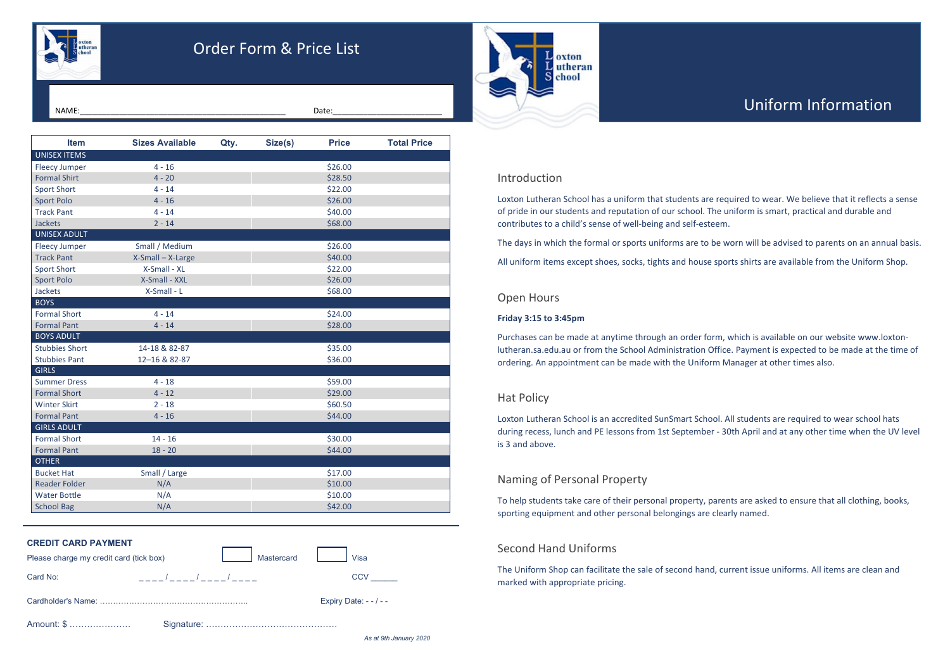| <b>CREDIT CARD PAYMENT</b>              |                      |                          |
|-----------------------------------------|----------------------|--------------------------|
| Please charge my credit card (tick box) | Mastercard           | Visa                     |
| Card No:                                | ____/____/____/_____ | <b>CCV</b>               |
|                                         |                      | Expiry Date: $- - / - -$ |
| Amount: \$                              |                      |                          |

*As at 9th January 2020*

# Introduction

Loxton Lutheran School has a uniform that students are required to wear. We believe that it reflects a sense of pride in our students and reputation of our school. The uniform is smart, practical and durable and contributes to a child's sense of well-being and self-esteem.

The days in which the formal or sports uniforms are to be worn will be advised to parents on an annual basis.

All uniform items except shoes, socks, tights and house sports shirts are available from the Uniform Shop.

# Open Hours

## **Friday 3:15 to 3:45pm**

Purchases can be made at anytime through an order form, which is available on our website www.loxtonlutheran.sa.edu.au or from the School Administration Office. Payment is expected to be made at the time of ordering. An appointment can be made with the Uniform Manager at other times also.

# Hat Policy

Loxton Lutheran School is an accredited SunSmart School. All students are required to wear school hats during recess, lunch and PE lessons from 1st September - 30th April and at any other time when the UV level is 3 and above.

# Naming of Personal Property

To help students take care of their personal property, parents are asked to ensure that all clothing, books, sporting equipment and other personal belongings are clearly named.

# Second Hand Uniforms

The Uniform Shop can facilitate the sale of second hand, current issue uniforms. All items are clean and marked with appropriate pricing.



# Order Form & Price List

**Item Sizes Available Qty. Size(s) Price Total Price** UNISEX ITEMS Fleecy Jumper  $4 - 16$   $4 - 16$   $526.00$ Formal Shirt  $4 - 20$   $\left\lfloor \frac{328.50}{225.50} \right\rfloor$  $Sport Short$   $4 - 14$   $4 - 14$   $522.00$ Sport Polo 4 - 16 4 - 16 4 - 16 526.00 Track Pant  $4 - 14$   $4 - 14$   $540.00$ Jackets 2 - 14 \$68.00 UNISEX ADULT Fleecy Jumper Small / Medium Network 326.00 Track Pant **X-Small – X-Large 1986** (1996) 12-10-2000 Sport Short **X-Small** - XL **No. 1. 2.2.00** Sport Polo **X-Small - XXL \$26.00** Jackets **X-Small - L** X-Small - L **New York 10 S68.00 BOYS** Formal Short  $4 - 14$   $4 - 14$   $524.00$ Formal Pant  $4 - 14$   $4 - 14$   $528.00$ BOYS ADULT Stubbies Short 14-18 & 82-87 **\$35.00** Stubbies Pant 12–16 & 82-87 \$36.00 **GIRLS** Summer Dress 1992 4 - 18 4 - 18 559.00 Formal Short 4 - 12 \$29.00 Winter Skirt 2 - 18 \$60.50 Formal Pant  $4 - 16$   $4 - 16$   $544.00$ GIRLS ADULT Formal Short 14 - 16 14 - 16 16 16 17 18:000 Formal Pant 18 - 20 \$44.00 OTHER Bucket Hat Small / Large | Small 2017.00 Reader Folder N/A N/A N/A \$10.00 Water Bottle N/A N/A N/A \$10.00 School Bag N/A N/A  $\sim$  N/A S42.00